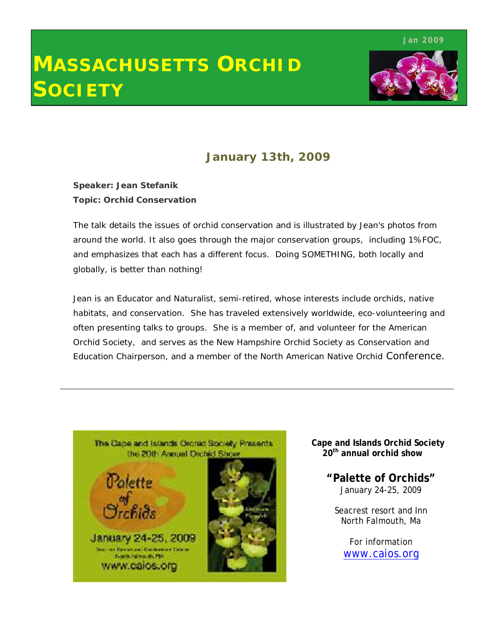**Jan 2009**

# **MASSACHUSETTS ORCHID SOCIETY**



## **January 13th, 2009**

**Speaker: Jean Stefanik Topic: Orchid Conservation**

The talk details the issues of orchid conservation and is illustrated by Jean's photos from around the world. It also goes through the major conservation groups, including 1%FOC, and emphasizes that each has a different focus. Doing SOMETHING, both locally and globally, is better than nothing!

Jean is an Educator and Naturalist, semi-retired, whose interests include orchids, native habitats, and conservation. She has traveled extensively worldwide, eco-volunteering and often presenting talks to groups. She is a member of, and volunteer for the American Orchid Society, and serves as the New Hampshire Orchid Society as Conservation and Education Chairperson, and a member of the North American Native Orchid Conference.



#### **Cape and Islands Orchid Society 20th annual orchid show**

**"Palette of Orchids"** January 24-25, 2009

Seacrest resort and Inn North Falmouth, Ma

For information www.caios.org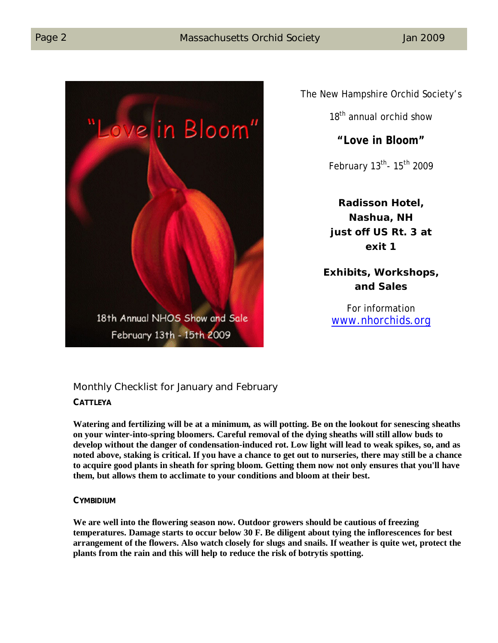

The New Hampshire Orchid Society's

18<sup>th</sup> annual orchid show

## **"Love in Bloom"**

February 13<sup>th</sup>- 15<sup>th</sup> 2009

**Radisson Hotel, Nashua, NH just off US Rt. 3 at exit 1**

**Exhibits, Workshops, and Sales**

For information www.nhorchids.org

## Monthly Checklist for January and February

#### **CATTLEYA**

**Watering and fertilizing will be at a minimum, as will potting. Be on the lookout for senescing sheaths on your winter-into-spring bloomers. Careful removal of the dying sheaths will still allow buds to develop without the danger of condensation-induced rot. Low light will lead to weak spikes, so, and as noted above, staking is critical. If you have a chance to get out to nurseries, there may still be a chance to acquire good plants in sheath for spring bloom. Getting them now not only ensures that you'll have them, but allows them to acclimate to your conditions and bloom at their best.**

#### **CYMBIDIUM**

**We are well into the flowering season now. Outdoor growers should be cautious of freezing temperatures. Damage starts to occur below 30 F. Be diligent about tying the inflorescences for best arrangement of the flowers. Also watch closely for slugs and snails. If weather is quite wet, protect the plants from the rain and this will help to reduce the risk of botrytis spotting.**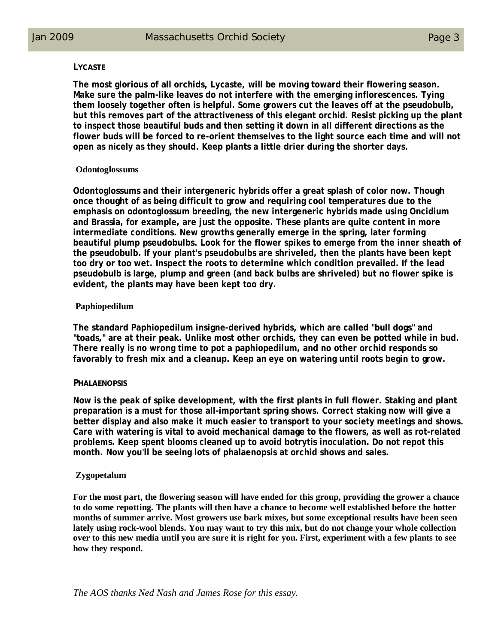#### **LYCASTE**

**The most glorious of all orchids, Lycaste, will be moving toward their flowering season. Make sure the palm-like leaves do not interfere with the emerging inflorescences. Tying them loosely together often is helpful. Some growers cut the leaves off at the pseudobulb, but this removes part of the attractiveness of this elegant orchid. Resist picking up the plant to inspect those beautiful buds and then setting it down in all different directions as the flower buds will be forced to re-orient themselves to the light source each time and will not open as nicely as they should. Keep plants a little drier during the shorter days.** 

#### **Odontoglossums**

**Odontoglossums and their intergeneric hybrids offer a great splash of color now. Though once thought of as being difficult to grow and requiring cool temperatures due to the emphasis on odontoglossum breeding, the new intergeneric hybrids made using Oncidium and Brassia, for example, are just the opposite. These plants are quite content in more intermediate conditions. New growths generally emerge in the spring, later forming beautiful plump pseudobulbs. Look for the flower spikes to emerge from the inner sheath of the pseudobulb. If your plant's pseudobulbs are shriveled, then the plants have been kept too dry or too wet. Inspect the roots to determine which condition prevailed. If the lead pseudobulb is large, plump and green (and back bulbs are shriveled) but no flower spike is evident, the plants may have been kept too dry.** 

#### **Paphiopedilum**

**The standard Paphiopedilum insigne-derived hybrids, which are called "bull dogs" and "toads," are at their peak. Unlike most other orchids, they can even be potted while in bud. There really is no wrong time to pot a paphiopedilum, and no other orchid responds so favorably to fresh mix and a cleanup. Keep an eye on watering until roots begin to grow.**

#### **PHALAENOPSIS**

**Now is the peak of spike development, with the first plants in full flower. Staking and plant preparation is a must for those all-important spring shows. Correct staking now will give a better display and also make it much easier to transport to your society meetings and shows. Care with watering is vital to avoid mechanical damage to the flowers, as well as rot-related problems. Keep spent blooms cleaned up to avoid botrytis inoculation. Do not repot this month. Now you'll be seeing lots of phalaenopsis at orchid shows and sales.** 

#### **Zygopetalum**

**For the most part, the flowering season will have ended for this group, providing the grower a chance to do some repotting. The plants will then have a chance to become well established before the hotter months of summer arrive. Most growers use bark mixes, but some exceptional results have been seen lately using rock-wool blends. You may want to try this mix, but do not change your whole collection over to this new media until you are sure it is right for you. First, experiment with a few plants to see how they respond.**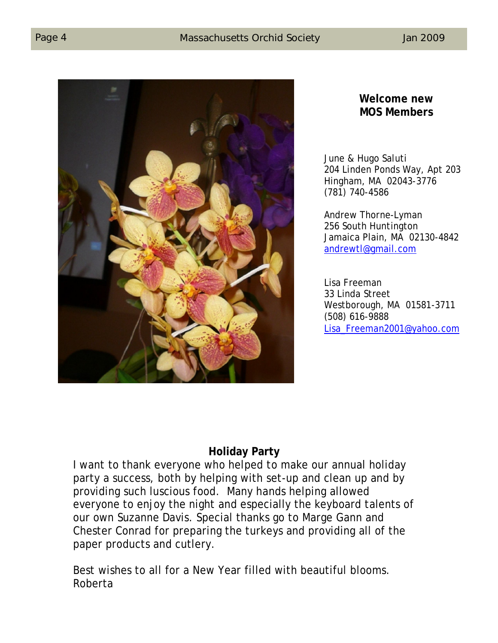

## **Welcome new MOS Members**

June & Hugo Saluti 204 Linden Ponds Way, Apt 203 Hingham, MA 02043-3776 (781) 740-4586

Andrew Thorne-Lyman 256 South Huntington Jamaica Plain, MA 02130-4842 andrewtl@gmail.com

Lisa Freeman 33 Linda Street Westborough, MA 01581-3711 (508) 616-9888 Lisa\_Freeman2001@yahoo.com

## **Holiday Party**

I want to thank everyone who helped to make our annual holiday party a success, both by helping with set-up and clean up and by providing such luscious food. Many hands helping allowed everyone to enjoy the night and especially the keyboard talents of our own Suzanne Davis. Special thanks go to Marge Gann and Chester Conrad for preparing the turkeys and providing all of the paper products and cutlery.

Best wishes to all for a New Year filled with beautiful blooms. Roberta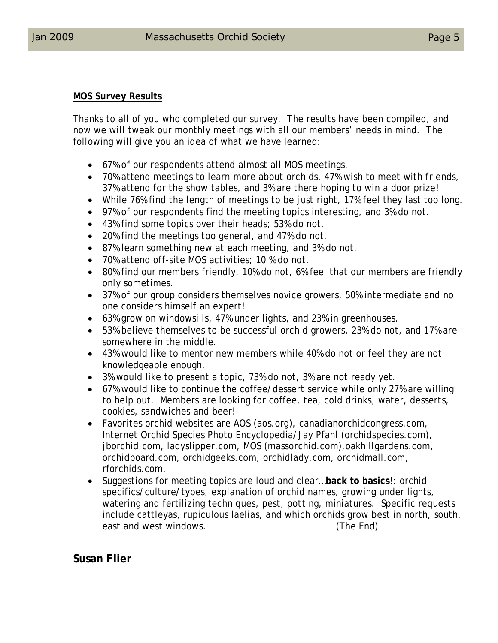#### **MOS Survey Results**

Thanks to all of you who completed our survey. The results have been compiled, and now we will tweak our monthly meetings with all our members' needs in mind. The following will give you an idea of what we have learned:

- 67% of our respondents attend almost all MOS meetings.
- 70% attend meetings to learn more about orchids, 47% wish to meet with friends, 37% attend for the show tables, and 3% are there hoping to win a door prize!
- While 76% find the length of meetings to be just right, 17% feel they last too long.
- 97% of our respondents find the meeting topics interesting, and 3% do not.
- 43% find some topics over their heads; 53% do not.
- 20% find the meetings too general, and 47% do not.
- 87% learn something new at each meeting, and 3% do not.
- 70% attend off-site MOS activities; 10 % do not.
- 80% find our members friendly, 10% do not, 6% feel that our members are friendly only sometimes.
- 37% of our group considers themselves novice growers, 50% intermediate and no one considers himself an expert!
- 63% grow on windowsills, 47% under lights, and 23% in greenhouses.
- 53% believe themselves to be successful orchid growers, 23% do not, and 17% are somewhere in the middle.
- 43% would like to mentor new members while 40% do not or feel they are not knowledgeable enough.
- 3% would like to present a topic, 73% do not, 3% are not ready yet.
- 67% would like to continue the coffee/dessert service while only 27% are willing to help out. Members are looking for coffee, tea, cold drinks, water, desserts, cookies, sandwiches and beer!
- Favorites orchid websites are AOS (aos.org), canadianorchidcongress.com, Internet Orchid Species Photo Encyclopedia/Jay Pfahl (orchidspecies.com), jborchid.com, ladyslipper.com, MOS (massorchid.com),oakhillgardens.com, orchidboard.com, orchidgeeks.com, orchidlady.com, orchidmall.com, rforchids.com.
- Suggestions for meeting topics are loud and clear…**back to basics**!: orchid specifics/culture/types, explanation of orchid names, growing under lights, watering and fertilizing techniques, pest, potting, miniatures. Specific requests include cattleyas, rupiculous laelias, and which orchids grow best in north, south, east and west windows. (The End)

## **Susan Flier**